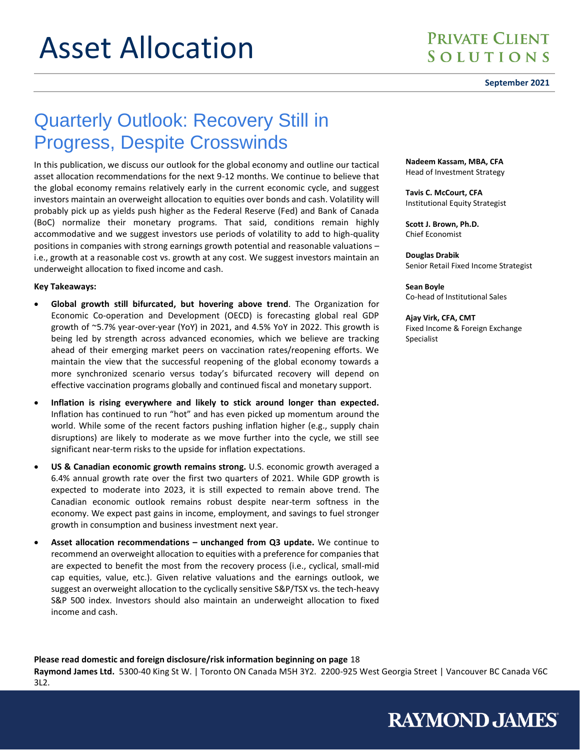#### **September 2021**

# Quarterly Outlook: Recovery Still in Progress, Despite Crosswinds

In this publication, we discuss our outlook for the global economy and outline our tactical asset allocation recommendations for the next 9-12 months. We continue to believe that the global economy remains relatively early in the current economic cycle, and suggest investors maintain an overweight allocation to equities over bonds and cash. Volatility will probably pick up as yields push higher as the Federal Reserve (Fed) and Bank of Canada (BoC) normalize their monetary programs. That said, conditions remain highly accommodative and we suggest investors use periods of volatility to add to high-quality positions in companies with strong earnings growth potential and reasonable valuations – i.e., growth at a reasonable cost vs. growth at any cost. We suggest investors maintain an underweight allocation to fixed income and cash.

#### **Key Takeaways:**

- **Global growth still bifurcated, but hovering above trend**. The Organization for Economic Co-operation and Development (OECD) is forecasting global real GDP growth of ~5.7% year-over-year (YoY) in 2021, and 4.5% YoY in 2022. This growth is being led by strength across advanced economies, which we believe are tracking ahead of their emerging market peers on vaccination rates/reopening efforts. We maintain the view that the successful reopening of the global economy towards a more synchronized scenario versus today's bifurcated recovery will depend on effective vaccination programs globally and continued fiscal and monetary support.
- **Inflation is rising everywhere and likely to stick around longer than expected.** Inflation has continued to run "hot" and has even picked up momentum around the world. While some of the recent factors pushing inflation higher (e.g., supply chain disruptions) are likely to moderate as we move further into the cycle, we still see significant near-term risks to the upside for inflation expectations.
- **US & Canadian economic growth remains strong.** U.S. economic growth averaged a 6.4% annual growth rate over the first two quarters of 2021. While GDP growth is expected to moderate into 2023, it is still expected to remain above trend. The Canadian economic outlook remains robust despite near-term softness in the economy. We expect past gains in income, employment, and savings to fuel stronger growth in consumption and business investment next year.
- **Asset allocation recommendations – unchanged from Q3 update.** We continue to recommend an overweight allocation to equities with a preference for companies that are expected to benefit the most from the recovery process (i.e., cyclical, small-mid cap equities, value, etc.). Given relative valuations and the earnings outlook, we suggest an overweight allocation to the cyclically sensitive S&P/TSX vs. the tech-heavy S&P 500 index. Investors should also maintain an underweight allocation to fixed income and cash.

**Nadeem Kassam, MBA, CFA** Head of Investment Strategy

**Tavis C. McCourt, CFA** Institutional Equity Strategist

**Scott J. Brown, Ph.D.** Chief Economist

**Douglas Drabik** Senior Retail Fixed Income Strategist

**Sean Boyle** Co-head of Institutional Sales

**Ajay Virk, CFA, CMT** Fixed Income & Foreign Exchange Specialist

**RAYMOND JAMES** 

**Please read domestic and foreign disclosure/risk information beginning on page** 18

**Raymond James Ltd.** 5300-40 King St W. | Toronto ON Canada M5H 3Y2. 2200-925 West Georgia Street | Vancouver BC Canada V6C 3L2.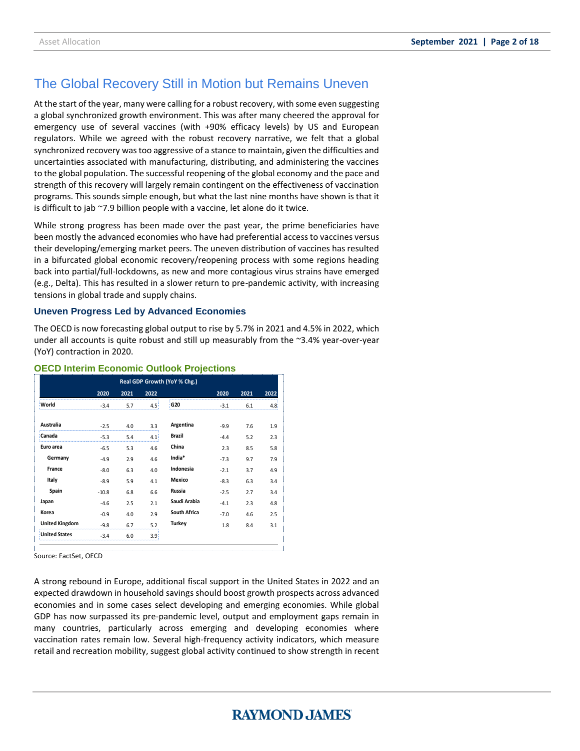### The Global Recovery Still in Motion but Remains Uneven

At the start of the year, many were calling for a robust recovery, with some even suggesting a global synchronized growth environment. This was after many cheered the approval for emergency use of several vaccines (with +90% efficacy levels) by US and European regulators. While we agreed with the robust recovery narrative, we felt that a global synchronized recovery wastoo aggressive of a stance to maintain, given the difficulties and uncertainties associated with manufacturing, distributing, and administering the vaccines to the global population. The successful reopening of the global economy and the pace and strength of this recovery will largely remain contingent on the effectiveness of vaccination programs. This sounds simple enough, but what the last nine months have shown is that it is difficult to jab ~7.9 billion people with a vaccine, let alone do it twice.

While strong progress has been made over the past year, the prime beneficiaries have been mostly the advanced economies who have had preferential access to vaccines versus their developing/emerging market peers. The uneven distribution of vaccines has resulted in a bifurcated global economic recovery/reopening process with some regions heading back into partial/full-lockdowns, as new and more contagious virus strains have emerged (e.g., Delta). This has resulted in a slower return to pre-pandemic activity, with increasing tensions in global trade and supply chains.

### **Uneven Progress Led by Advanced Economies**

The OECD is now forecasting global output to rise by 5.7% in 2021 and 4.5% in 2022, which under all accounts is quite robust and still up measurably from the  $\approx$ 3.4% year-over-year (YoY) contraction in 2020.

| Real GDP Growth (YoY % Chg.) |         |      |                  |                     |        |      |      |
|------------------------------|---------|------|------------------|---------------------|--------|------|------|
|                              | 2020    | 2021 | 2022             |                     | 2020   | 2021 | 2022 |
| World                        | $-3.4$  | 5.7  | 4.5 <sup>1</sup> | G <sub>20</sub>     | $-3.1$ | 6.1  | 4.8  |
|                              |         |      |                  |                     |        |      |      |
| Australia                    | $-2.5$  | 4.0  | 3.3              | Argentina           | $-9.9$ | 7.6  | 1.9  |
| Canada                       | $-5.3$  | 5.4  | 4.1 <sup>1</sup> | <b>Brazil</b>       | $-4.4$ | 5.2  | 2.3  |
| Euro area                    | $-6.5$  | 5.3  | 4.6              | China               | 2.3    | 8.5  | 5.8  |
| Germany                      | $-4.9$  | 2.9  | 4.6              | India*              | $-7.3$ | 9.7  | 7.9  |
| France                       | $-8.0$  | 6.3  | 4.0              | Indonesia           | $-2.1$ | 3.7  | 4.9  |
| Italy                        | $-8.9$  | 5.9  | 4.1              | Mexico              | $-8.3$ | 6.3  | 3.4  |
| Spain                        | $-10.8$ | 6.8  | 6.6              | Russia              | $-2.5$ | 2.7  | 3.4  |
| Japan                        | $-4.6$  | 2.5  | 2.1              | Saudi Arabia        | $-4.1$ | 2.3  | 4.8  |
| Korea                        | $-0.9$  | 4.0  | 2.9              | <b>South Africa</b> | $-7.0$ | 4.6  | 2.5  |
| <b>United Kingdom</b>        | $-9.8$  | 6.7  | 5.2              | Turkey              | 1.8    | 8.4  | 3.1  |
| <b>United States</b>         | $-3.4$  | 6.0  | 3.9 <sub>1</sub> |                     |        |      |      |

### **OECD Interim Economic Outlook Projections**

Source: FactSet, OECD

A strong rebound in Europe, additional fiscal support in the United States in 2022 and an expected drawdown in household savings should boost growth prospects across advanced economies and in some cases select developing and emerging economies. While global GDP has now surpassed its pre-pandemic level, output and employment gaps remain in many countries, particularly across emerging and developing economies where vaccination rates remain low. Several high-frequency activity indicators, which measure retail and recreation mobility, suggest global activity continued to show strength in recent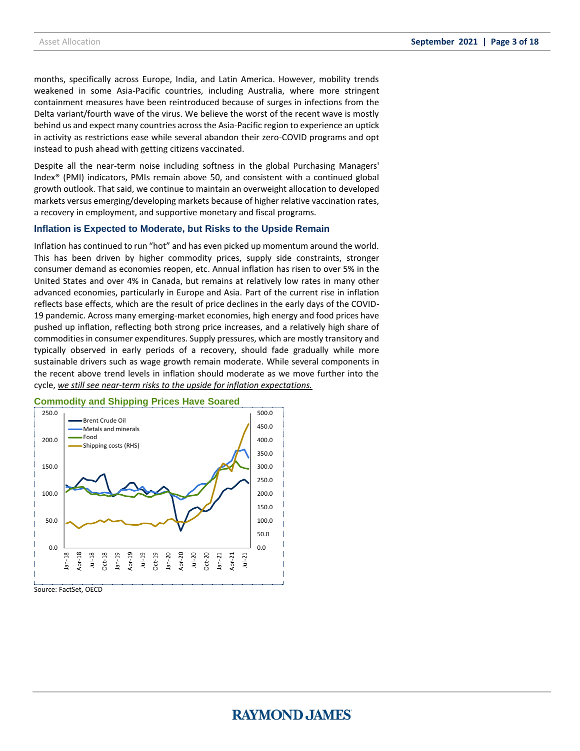months, specifically across Europe, India, and Latin America. However, mobility trends weakened in some Asia-Pacific countries, including Australia, where more stringent containment measures have been reintroduced because of surges in infections from the Delta variant/fourth wave of the virus. We believe the worst of the recent wave is mostly behind us and expect many countries across the Asia-Pacific region to experience an uptick in activity as restrictions ease while several abandon their zero-COVID programs and opt instead to push ahead with getting citizens vaccinated.

Despite all the near-term noise including softness in the global Purchasing Managers' Index® (PMI) indicators, PMIs remain above 50, and consistent with a continued global growth outlook. That said, we continue to maintain an overweight allocation to developed markets versus emerging/developing markets because of higher relative vaccination rates, a recovery in employment, and supportive monetary and fiscal programs.

#### **Inflation is Expected to Moderate, but Risks to the Upside Remain**

Inflation has continued to run "hot" and has even picked up momentum around the world. This has been driven by higher commodity prices, supply side constraints, stronger consumer demand as economies reopen, etc. Annual inflation has risen to over 5% in the United States and over 4% in Canada, but remains at relatively low rates in many other advanced economies, particularly in Europe and Asia. Part of the current rise in inflation reflects base effects, which are the result of price declines in the early days of the COVID-19 pandemic. Across many emerging-market economies, high energy and food prices have pushed up inflation, reflecting both strong price increases, and a relatively high share of commodities in consumer expenditures. Supply pressures, which are mostly transitory and typically observed in early periods of a recovery, should fade gradually while more sustainable drivers such as wage growth remain moderate. While several components in the recent above trend levels in inflation should moderate as we move further into the cycle, *we still see near-term risks to the upside for inflation expectations.*



### **Commodity and Shipping Prices Have Soared**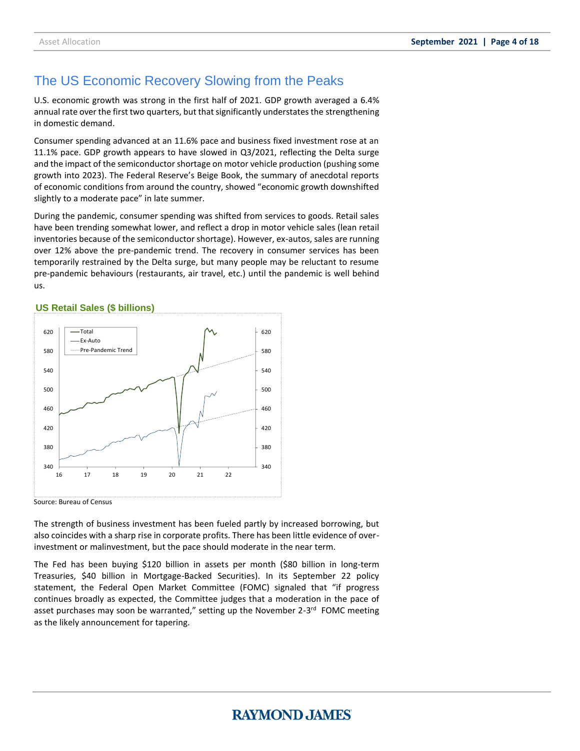### The US Economic Recovery Slowing from the Peaks

U.S. economic growth was strong in the first half of 2021. GDP growth averaged a 6.4% annual rate over the first two quarters, but that significantly understates the strengthening in domestic demand.

Consumer spending advanced at an 11.6% pace and business fixed investment rose at an 11.1% pace. GDP growth appears to have slowed in Q3/2021, reflecting the Delta surge and the impact of the semiconductor shortage on motor vehicle production (pushing some growth into 2023). The Federal Reserve's Beige Book, the summary of anecdotal reports of economic conditions from around the country, showed "economic growth downshifted slightly to a moderate pace" in late summer.

During the pandemic, consumer spending was shifted from services to goods. Retail sales have been trending somewhat lower, and reflect a drop in motor vehicle sales (lean retail inventories because of the semiconductor shortage). However, ex-autos, sales are running over 12% above the pre-pandemic trend. The recovery in consumer services has been temporarily restrained by the Delta surge, but many people may be reluctant to resume pre-pandemic behaviours (restaurants, air travel, etc.) until the pandemic is well behind us.

### **US Retail Sales (\$ billions)**



Source: Bureau of Census

The strength of business investment has been fueled partly by increased borrowing, but also coincides with a sharp rise in corporate profits. There has been little evidence of overinvestment or malinvestment, but the pace should moderate in the near term.

The Fed has been buying \$120 billion in assets per month (\$80 billion in long-term Treasuries, \$40 billion in Mortgage-Backed Securities). In its September 22 policy statement, the Federal Open Market Committee (FOMC) signaled that "if progress continues broadly as expected, the Committee judges that a moderation in the pace of asset purchases may soon be warranted," setting up the November 2-3<sup>rd</sup> FOMC meeting as the likely announcement for tapering.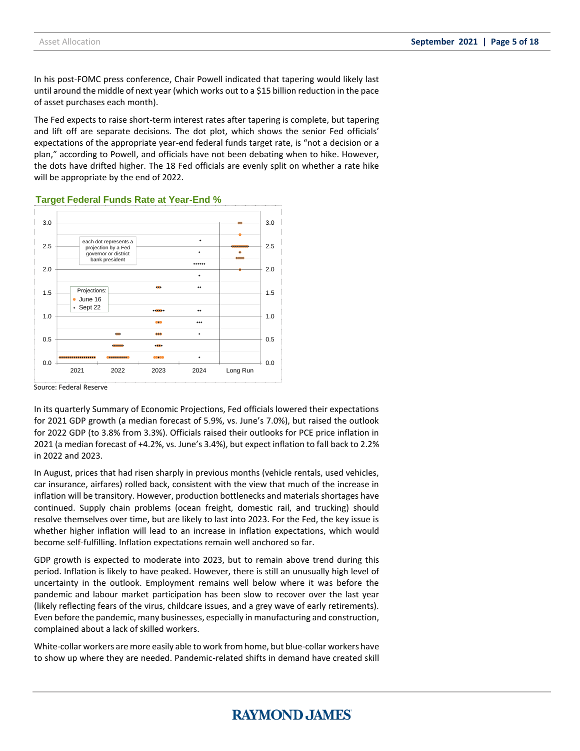In his post-FOMC press conference, Chair Powell indicated that tapering would likely last until around the middle of next year (which works out to a \$15 billion reduction in the pace of asset purchases each month).

The Fed expects to raise short-term interest rates after tapering is complete, but tapering and lift off are separate decisions. The dot plot, which shows the senior Fed officials' expectations of the appropriate year-end federal funds target rate, is "not a decision or a plan," according to Powell, and officials have not been debating when to hike. However, the dots have drifted higher. The 18 Fed officials are evenly split on whether a rate hike will be appropriate by the end of 2022.



**Target Federal Funds Rate at Year-End %**

Source: Federal Reserve

In its quarterly Summary of Economic Projections, Fed officials lowered their expectations for 2021 GDP growth (a median forecast of 5.9%, vs. June's 7.0%), but raised the outlook for 2022 GDP (to 3.8% from 3.3%). Officials raised their outlooks for PCE price inflation in 2021 (a median forecast of +4.2%, vs. June's 3.4%), but expect inflation to fall back to 2.2% in 2022 and 2023.

In August, prices that had risen sharply in previous months (vehicle rentals, used vehicles, car insurance, airfares) rolled back, consistent with the view that much of the increase in inflation will be transitory. However, production bottlenecks and materials shortages have continued. Supply chain problems (ocean freight, domestic rail, and trucking) should resolve themselves over time, but are likely to last into 2023. For the Fed, the key issue is whether higher inflation will lead to an increase in inflation expectations, which would become self-fulfilling. Inflation expectations remain well anchored so far.

GDP growth is expected to moderate into 2023, but to remain above trend during this period. Inflation is likely to have peaked. However, there is still an unusually high level of uncertainty in the outlook. Employment remains well below where it was before the pandemic and labour market participation has been slow to recover over the last year (likely reflecting fears of the virus, childcare issues, and a grey wave of early retirements). Even before the pandemic, many businesses, especially in manufacturing and construction, complained about a lack of skilled workers.

White-collar workers are more easily able to work from home, but blue-collar workers have to show up where they are needed. Pandemic-related shifts in demand have created skill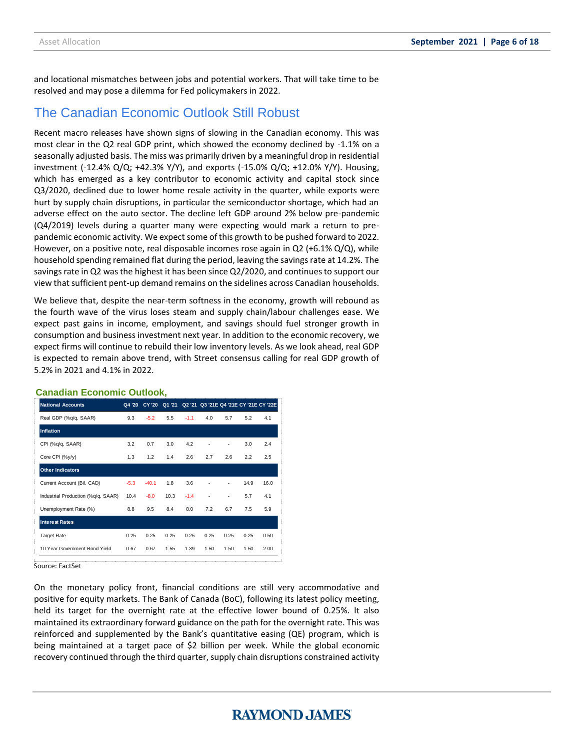and locational mismatches between jobs and potential workers. That will take time to be resolved and may pose a dilemma for Fed policymakers in 2022.

### The Canadian Economic Outlook Still Robust

Recent macro releases have shown signs of slowing in the Canadian economy. This was most clear in the Q2 real GDP print, which showed the economy declined by -1.1% on a seasonally adjusted basis. The miss was primarily driven by a meaningful drop in residential investment (-12.4%  $Q/Q$ ; +42.3% Y/Y), and exports (-15.0%  $Q/Q$ ; +12.0% Y/Y). Housing, which has emerged as a key contributor to economic activity and capital stock since Q3/2020, declined due to lower home resale activity in the quarter, while exports were hurt by supply chain disruptions, in particular the semiconductor shortage, which had an adverse effect on the auto sector. The decline left GDP around 2% below pre-pandemic (Q4/2019) levels during a quarter many were expecting would mark a return to prepandemic economic activity. We expect some of this growth to be pushed forward to 2022. However, on a positive note, real disposable incomes rose again in Q2 (+6.1% Q/Q), while household spending remained flat during the period, leaving the savings rate at 14.2%. The savings rate in Q2 was the highest it has been since Q2/2020, and continues to support our view that sufficient pent-up demand remains on the sidelines across Canadian households.

We believe that, despite the near-term softness in the economy, growth will rebound as the fourth wave of the virus loses steam and supply chain/labour challenges ease. We expect past gains in income, employment, and savings should fuel stronger growth in consumption and business investment next year. In addition to the economic recovery, we expect firms will continue to rebuild their low inventory levels. As we look ahead, real GDP is expected to remain above trend, with Street consensus calling for real GDP growth of 5.2% in 2021 and 4.1% in 2022.

| <b>National Accounts</b>           | Q4 '20 | <b>CY '20</b> | Q1 '21 |        | Q2 '21 Q3 '21E Q4 '21E CY '21E CY '22E |      |      |      |
|------------------------------------|--------|---------------|--------|--------|----------------------------------------|------|------|------|
| Real GDP (%q/q, SAAR)              | 9.3    | $-5.2$        | 5.5    | $-1.1$ | 4.0                                    | 5.7  | 5.2  | 4.1  |
| Inflation                          |        |               |        |        |                                        |      |      |      |
| CPI (%q/q, SAAR)                   | 3.2    | 0.7           | 3.0    | 4.2    | ٠                                      | ٠    | 3.0  | 2.4  |
| Core CPI (%y/y)                    | 1.3    | 1.2           | 1.4    | 2.6    | 2.7                                    | 2.6  | 2.2  | 2.5  |
| <b>Other Indicators</b>            |        |               |        |        |                                        |      |      |      |
| Current Account (Bil. CAD)         | $-5.3$ | $-40.1$       | 1.8    | 3.6    |                                        | ٠    | 14.9 | 16.0 |
| Industrial Production (%q/q, SAAR) | 10.4   | $-8.0$        | 10.3   | $-1.4$ | ٠                                      | ٠    | 5.7  | 4.1  |
| Unemployment Rate (%)              | 8.8    | 9.5           | 8.4    | 8.0    | 7.2                                    | 6.7  | 7.5  | 5.9  |
| <b>Interest Rates</b>              |        |               |        |        |                                        |      |      |      |
| <b>Target Rate</b>                 | 0.25   | 0.25          | 0.25   | 0.25   | 0.25                                   | 0.25 | 0.25 | 0.50 |
| 10 Year Government Bond Yield      | 0.67   | 0.67          | 1.55   | 1.39   | 1.50                                   | 1.50 | 1.50 | 2.00 |
|                                    |        |               |        |        |                                        |      |      |      |

#### **Canadian Economic Outlook,**

Source: FactSet

On the monetary policy front, financial conditions are still very accommodative and positive for equity markets. The Bank of Canada (BoC), following its latest policy meeting, held its target for the overnight rate at the effective lower bound of 0.25%. It also maintained its extraordinary forward guidance on the path for the overnight rate. This was reinforced and supplemented by the Bank's quantitative easing (QE) program, which is being maintained at a target pace of \$2 billion per week. While the global economic recovery continued through the third quarter, supply chain disruptions constrained activity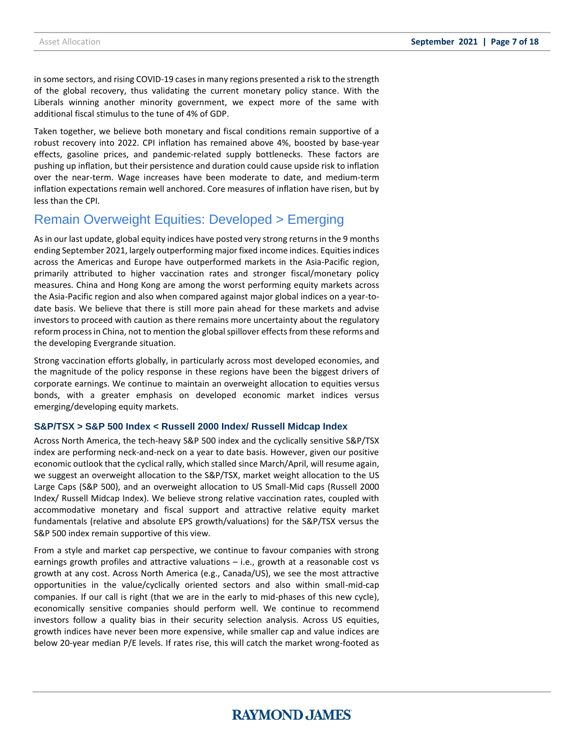in some sectors, and rising COVID-19 cases in many regions presented a risk to the strength of the global recovery, thus validating the current monetary policy stance. With the Liberals winning another minority government, we expect more of the same with additional fiscal stimulus to the tune of 4% of GDP.

Taken together, we believe both monetary and fiscal conditions remain supportive of a robust recovery into 2022. CPI inflation has remained above 4%, boosted by base-year effects, gasoline prices, and pandemic-related supply bottlenecks. These factors are pushing up inflation, but their persistence and duration could cause upside risk to inflation over the near-term. Wage increases have been moderate to date, and medium-term inflation expectations remain well anchored. Core measures of inflation have risen, but by less than the CPI.

### Remain Overweight Equities: Developed > Emerging

As in our last update, global equity indices have posted very strong returns in the 9 months ending September 2021, largely outperforming major fixed income indices. Equities indices across the Americas and Europe have outperformed markets in the Asia-Pacific region, primarily attributed to higher vaccination rates and stronger fiscal/monetary policy measures. China and Hong Kong are among the worst performing equity markets across the Asia-Pacific region and also when compared against major global indices on a year-todate basis. We believe that there is still more pain ahead for these markets and advise investors to proceed with caution as there remains more uncertainty about the regulatory reform process in China, not to mention the global spillover effects from these reforms and the developing Evergrande situation.

Strong vaccination efforts globally, in particularly across most developed economies, and the magnitude of the policy response in these regions have been the biggest drivers of corporate earnings. We continue to maintain an overweight allocation to equities versus bonds, with a greater emphasis on developed economic market indices versus emerging/developing equity markets.

### **S&P/TSX > S&P 500 Index < Russell 2000 Index/ Russell Midcap Index**

Across North America, the tech-heavy S&P 500 index and the cyclically sensitive S&P/TSX index are performing neck-and-neck on a year to date basis. However, given our positive economic outlook that the cyclical rally, which stalled since March/April, will resume again, we suggest an overweight allocation to the S&P/TSX, market weight allocation to the US Large Caps (S&P 500), and an overweight allocation to US Small-Mid caps (Russell 2000 Index/ Russell Midcap Index). We believe strong relative vaccination rates, coupled with accommodative monetary and fiscal support and attractive relative equity market fundamentals (relative and absolute EPS growth/valuations) for the S&P/TSX versus the S&P 500 index remain supportive of this view.

From a style and market cap perspective, we continue to favour companies with strong earnings growth profiles and attractive valuations – i.e., growth at a reasonable cost vs growth at any cost. Across North America (e.g., Canada/US), we see the most attractive opportunities in the value/cyclically oriented sectors and also within small-mid-cap companies. If our call is right (that we are in the early to mid-phases of this new cycle), economically sensitive companies should perform well. We continue to recommend investors follow a quality bias in their security selection analysis. Across US equities, growth indices have never been more expensive, while smaller cap and value indices are below 20-year median P/E levels. If rates rise, this will catch the market wrong-footed as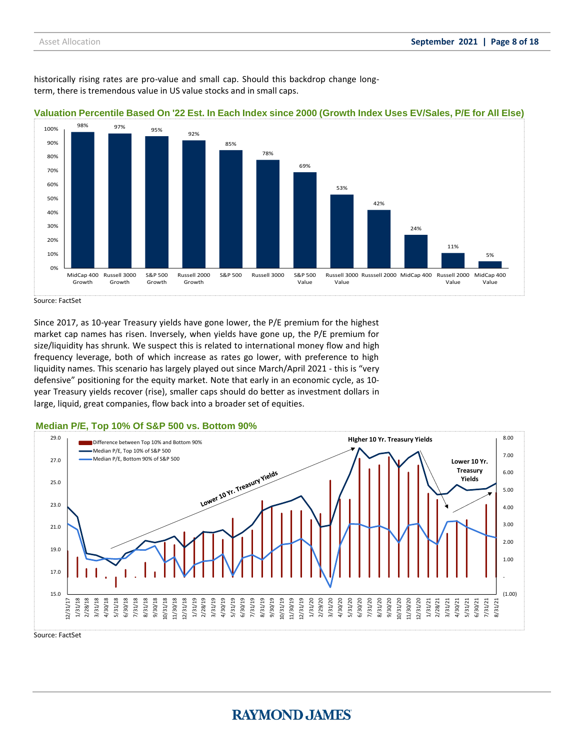historically rising rates are pro-value and small cap. Should this backdrop change longterm, there is tremendous value in US value stocks and in small caps.



#### **Valuation Percentile Based On '22 Est. In Each Index since 2000 (Growth Index Uses EV/Sales, P/E for All Else)**

Source: FactSet

Since 2017, as 10-year Treasury yields have gone lower, the P/E premium for the highest market cap names has risen. Inversely, when yields have gone up, the P/E premium for size/liquidity has shrunk. We suspect this is related to international money flow and high frequency leverage, both of which increase as rates go lower, with preference to high liquidity names. This scenario has largely played out since March/April 2021 - this is "very defensive" positioning for the equity market. Note that early in an economic cycle, as 10 year Treasury yields recover (rise), smaller caps should do better as investment dollars in large, liquid, great companies, flow back into a broader set of equities.

### **Median P/E, Top 10% Of S&P 500 vs. Bottom 90%**

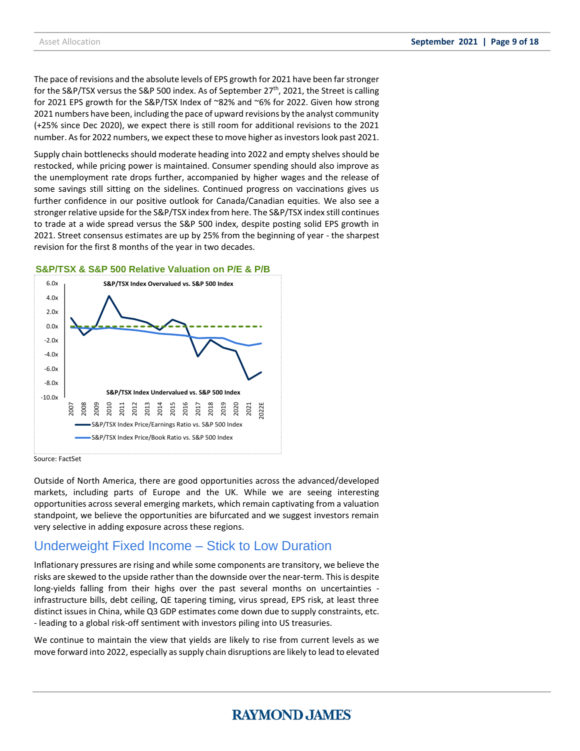The pace of revisions and the absolute levels of EPS growth for 2021 have been far stronger for the S&P/TSX versus the S&P 500 index. As of September 27<sup>th</sup>, 2021, the Street is calling for 2021 EPS growth for the S&P/TSX Index of ~82% and ~6% for 2022. Given how strong 2021 numbers have been, including the pace of upward revisions by the analyst community (+25% since Dec 2020), we expect there is still room for additional revisions to the 2021 number. As for 2022 numbers, we expect these to move higher as investors look past 2021.

Supply chain bottlenecks should moderate heading into 2022 and empty shelves should be restocked, while pricing power is maintained. Consumer spending should also improve as the unemployment rate drops further, accompanied by higher wages and the release of some savings still sitting on the sidelines. Continued progress on vaccinations gives us further confidence in our positive outlook for Canada/Canadian equities. We also see a stronger relative upside for the S&P/TSX index from here. The S&P/TSX index still continues to trade at a wide spread versus the S&P 500 index, despite posting solid EPS growth in 2021. Street consensus estimates are up by 25% from the beginning of year - the sharpest revision for the first 8 months of the year in two decades.

#### **S&P/TSX & S&P 500 Relative Valuation on P/E & P/B**



Source: FactSet

Outside of North America, there are good opportunities across the advanced/developed markets, including parts of Europe and the UK. While we are seeing interesting opportunities across several emerging markets, which remain captivating from a valuation standpoint, we believe the opportunities are bifurcated and we suggest investors remain very selective in adding exposure across these regions.

### Underweight Fixed Income – Stick to Low Duration

Inflationary pressures are rising and while some components are transitory, we believe the risks are skewed to the upside rather than the downside over the near-term. This is despite long-yields falling from their highs over the past several months on uncertainties infrastructure bills, debt ceiling, QE tapering timing, virus spread, EPS risk, at least three distinct issues in China, while Q3 GDP estimates come down due to supply constraints, etc. - leading to a global risk-off sentiment with investors piling into US treasuries.

We continue to maintain the view that yields are likely to rise from current levels as we move forward into 2022, especially as supply chain disruptions are likely to lead to elevated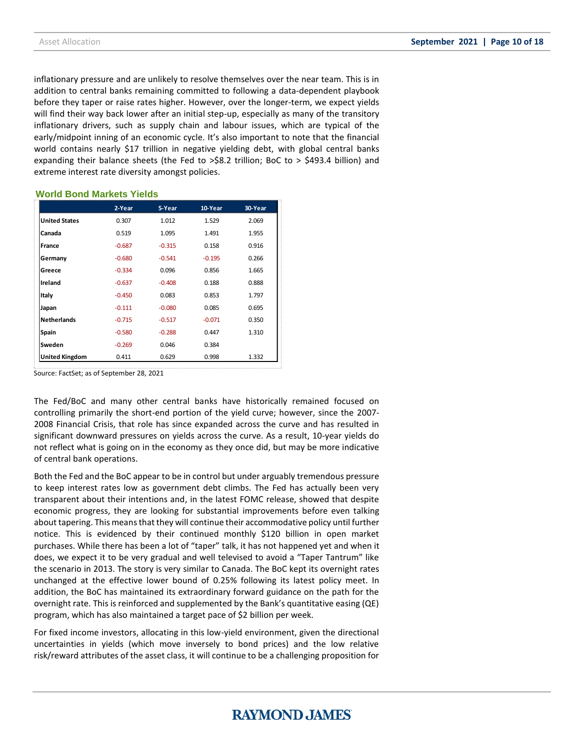inflationary pressure and are unlikely to resolve themselves over the near team. This is in addition to central banks remaining committed to following a data-dependent playbook before they taper or raise rates higher. However, over the longer-term, we expect yields will find their way back lower after an initial step-up, especially as many of the transitory inflationary drivers, such as supply chain and labour issues, which are typical of the early/midpoint inning of an economic cycle. It's also important to note that the financial world contains nearly \$17 trillion in negative yielding debt, with global central banks expanding their balance sheets (the Fed to >\$8.2 trillion; BoC to > \$493.4 billion) and extreme interest rate diversity amongst policies.

### **World Bond Markets Yields**

|                      | 2-Year   | 5-Year   | 10-Year  | 30-Year |
|----------------------|----------|----------|----------|---------|
| <b>United States</b> | 0.307    | 1.012    | 1.529    | 2.069   |
| Canada               | 0.519    | 1.095    | 1.491    | 1.955   |
| France               | $-0.687$ | $-0.315$ | 0.158    | 0.916   |
| Germany              | $-0.680$ | $-0.541$ | $-0.195$ | 0.266   |
| Greece               | $-0.334$ | 0.096    | 0.856    | 1.665   |
| Ireland              | $-0.637$ | $-0.408$ | 0.188    | 0.888   |
| Italy                | $-0.450$ | 0.083    | 0.853    | 1.797   |
| Japan                | $-0.111$ | $-0.080$ | 0.085    | 0.695   |
| <b>Netherlands</b>   | $-0.715$ | $-0.517$ | $-0.071$ | 0.350   |
| Spain                | $-0.580$ | $-0.288$ | 0.447    | 1.310   |
| Sweden               | $-0.269$ | 0.046    | 0.384    |         |
| United Kingdom       | 0.411    | 0.629    | 0.998    | 1.332   |

Source: FactSet; as of September 28, 2021

The Fed/BoC and many other central banks have historically remained focused on controlling primarily the short-end portion of the yield curve; however, since the 2007- 2008 Financial Crisis, that role has since expanded across the curve and has resulted in significant downward pressures on yields across the curve. As a result, 10-year yields do not reflect what is going on in the economy as they once did, but may be more indicative of central bank operations.

Both the Fed and the BoC appear to be in control but under arguably tremendous pressure to keep interest rates low as government debt climbs. The Fed has actually been very transparent about their intentions and, in the latest FOMC release, showed that despite economic progress, they are looking for substantial improvements before even talking about tapering. This means that they will continue their accommodative policy until further notice. This is evidenced by their continued monthly \$120 billion in open market purchases. While there has been a lot of "taper" talk, it has not happened yet and when it does, we expect it to be very gradual and well televised to avoid a "Taper Tantrum" like the scenario in 2013. The story is very similar to Canada. The BoC kept its overnight rates unchanged at the effective lower bound of 0.25% following its latest policy meet. In addition, the BoC has maintained its extraordinary forward guidance on the path for the overnight rate. This is reinforced and supplemented by the Bank's quantitative easing (QE) program, which has also maintained a target pace of \$2 billion per week.

For fixed income investors, allocating in this low-yield environment, given the directional uncertainties in yields (which move inversely to bond prices) and the low relative risk/reward attributes of the asset class, it will continue to be a challenging proposition for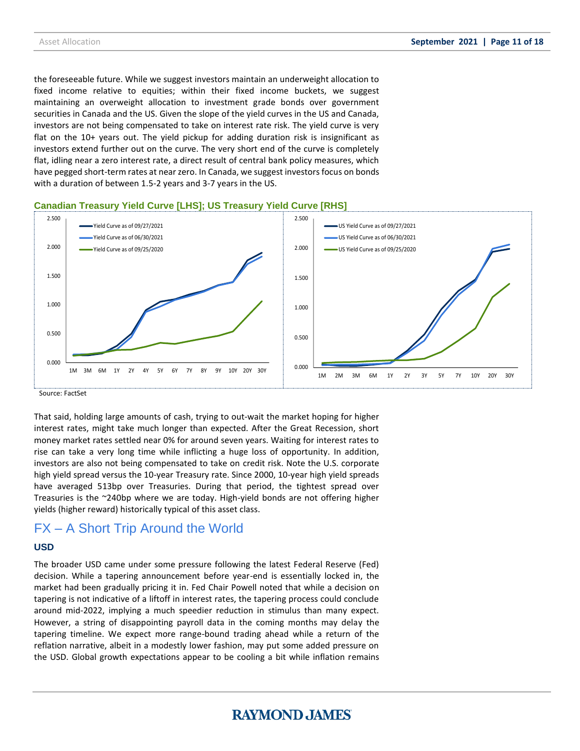the foreseeable future. While we suggest investors maintain an underweight allocation to fixed income relative to equities; within their fixed income buckets, we suggest maintaining an overweight allocation to investment grade bonds over government securities in Canada and the US. Given the slope of the yield curves in the US and Canada, investors are not being compensated to take on interest rate risk. The yield curve is very flat on the 10+ years out. The yield pickup for adding duration risk is insignificant as investors extend further out on the curve. The very short end of the curve is completely flat, idling near a zero interest rate, a direct result of central bank policy measures, which have pegged short-term rates at near zero. In Canada, we suggest investors focus on bonds with a duration of between 1.5-2 years and 3-7 years in the US.





Source: FactSet

That said, holding large amounts of cash, trying to out-wait the market hoping for higher interest rates, might take much longer than expected. After the Great Recession, short money market rates settled near 0% for around seven years. Waiting for interest rates to rise can take a very long time while inflicting a huge loss of opportunity. In addition, investors are also not being compensated to take on credit risk. Note the U.S. corporate high yield spread versus the 10-year Treasury rate. Since 2000, 10-year high yield spreads have averaged 513bp over Treasuries. During that period, the tightest spread over Treasuries is the ~240bp where we are today. High-yield bonds are not offering higher yields (higher reward) historically typical of this asset class.

### FX – A Short Trip Around the World

### **USD**

The broader USD came under some pressure following the latest Federal Reserve (Fed) decision. While a tapering announcement before year-end is essentially locked in, the market had been gradually pricing it in. Fed Chair Powell noted that while a decision on tapering is not indicative of a liftoff in interest rates, the tapering process could conclude around mid-2022, implying a much speedier reduction in stimulus than many expect. However, a string of disappointing payroll data in the coming months may delay the tapering timeline. We expect more range-bound trading ahead while a return of the reflation narrative, albeit in a modestly lower fashion, may put some added pressure on the USD. Global growth expectations appear to be cooling a bit while inflation remains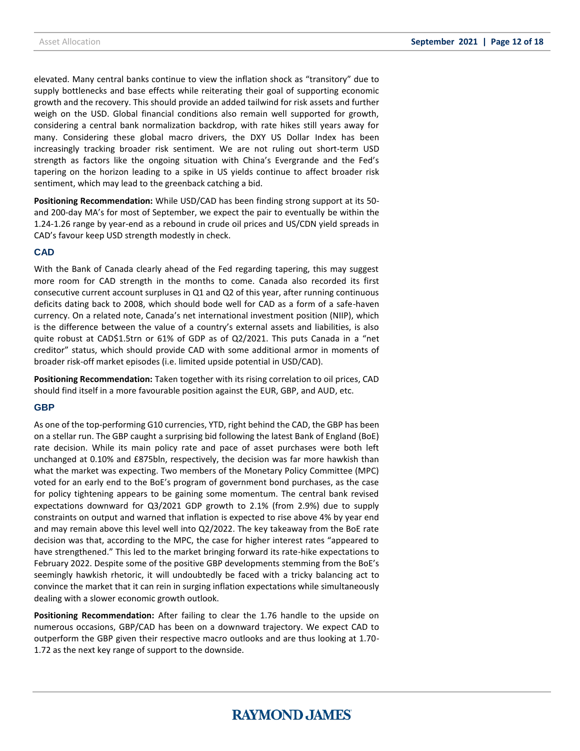elevated. Many central banks continue to view the inflation shock as "transitory" due to supply bottlenecks and base effects while reiterating their goal of supporting economic growth and the recovery. This should provide an added tailwind for risk assets and further weigh on the USD. Global financial conditions also remain well supported for growth, considering a central bank normalization backdrop, with rate hikes still years away for many. Considering these global macro drivers, the DXY US Dollar Index has been increasingly tracking broader risk sentiment. We are not ruling out short-term USD strength as factors like the ongoing situation with China's Evergrande and the Fed's tapering on the horizon leading to a spike in US yields continue to affect broader risk sentiment, which may lead to the greenback catching a bid.

**Positioning Recommendation:** While USD/CAD has been finding strong support at its 50 and 200-day MA's for most of September, we expect the pair to eventually be within the 1.24-1.26 range by year-end as a rebound in crude oil prices and US/CDN yield spreads in CAD's favour keep USD strength modestly in check.

### **CAD**

With the Bank of Canada clearly ahead of the Fed regarding tapering, this may suggest more room for CAD strength in the months to come. Canada also recorded its first consecutive current account surpluses in Q1 and Q2 of this year, after running continuous deficits dating back to 2008, which should bode well for CAD as a form of a safe-haven currency. On a related note, Canada's net international investment position (NIIP), which is the difference between the value of a country's external assets and liabilities, is also quite robust at CAD\$1.5trn or 61% of GDP as of Q2/2021. This puts Canada in a "net creditor" status, which should provide CAD with some additional armor in moments of broader risk-off market episodes (i.e. limited upside potential in USD/CAD).

**Positioning Recommendation:** Taken together with its rising correlation to oil prices, CAD should find itself in a more favourable position against the EUR, GBP, and AUD, etc.

### **GBP**

As one of the top-performing G10 currencies, YTD, right behind the CAD, the GBP has been on a stellar run. The GBP caught a surprising bid following the latest Bank of England (BoE) rate decision. While its main policy rate and pace of asset purchases were both left unchanged at 0.10% and £875bln, respectively, the decision was far more hawkish than what the market was expecting. Two members of the Monetary Policy Committee (MPC) voted for an early end to the BoE's program of government bond purchases, as the case for policy tightening appears to be gaining some momentum. The central bank revised expectations downward for Q3/2021 GDP growth to 2.1% (from 2.9%) due to supply constraints on output and warned that inflation is expected to rise above 4% by year end and may remain above this level well into Q2/2022. The key takeaway from the BoE rate decision was that, according to the MPC, the case for higher interest rates "appeared to have strengthened." This led to the market bringing forward its rate-hike expectations to February 2022. Despite some of the positive GBP developments stemming from the BoE's seemingly hawkish rhetoric, it will undoubtedly be faced with a tricky balancing act to convince the market that it can rein in surging inflation expectations while simultaneously dealing with a slower economic growth outlook.

**Positioning Recommendation:** After failing to clear the 1.76 handle to the upside on numerous occasions, GBP/CAD has been on a downward trajectory. We expect CAD to outperform the GBP given their respective macro outlooks and are thus looking at 1.70- 1.72 as the next key range of support to the downside.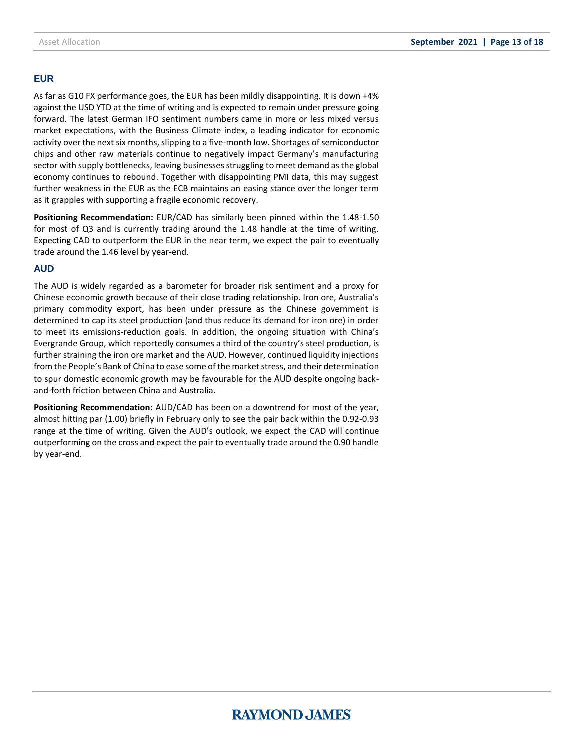### **EUR**

As far as G10 FX performance goes, the EUR has been mildly disappointing. It is down +4% against the USD YTD at the time of writing and is expected to remain under pressure going forward. The latest German IFO sentiment numbers came in more or less mixed versus market expectations, with the Business Climate index, a leading indicator for economic activity over the next six months, slipping to a five-month low. Shortages of semiconductor chips and other raw materials continue to negatively impact Germany's manufacturing sector with supply bottlenecks, leaving businesses struggling to meet demand as the global economy continues to rebound. Together with disappointing PMI data, this may suggest further weakness in the EUR as the ECB maintains an easing stance over the longer term as it grapples with supporting a fragile economic recovery.

**Positioning Recommendation:** EUR/CAD has similarly been pinned within the 1.48-1.50 for most of Q3 and is currently trading around the 1.48 handle at the time of writing. Expecting CAD to outperform the EUR in the near term, we expect the pair to eventually trade around the 1.46 level by year-end.

### **AUD**

The AUD is widely regarded as a barometer for broader risk sentiment and a proxy for Chinese economic growth because of their close trading relationship. Iron ore, Australia's primary commodity export, has been under pressure as the Chinese government is determined to cap its steel production (and thus reduce its demand for iron ore) in order to meet its emissions-reduction goals. In addition, the ongoing situation with China's Evergrande Group, which reportedly consumes a third of the country's steel production, is further straining the iron ore market and the AUD. However, continued liquidity injections from the People's Bank of China to ease some of the market stress, and their determination to spur domestic economic growth may be favourable for the AUD despite ongoing backand-forth friction between China and Australia.

**Positioning Recommendation:** AUD/CAD has been on a downtrend for most of the year, almost hitting par (1.00) briefly in February only to see the pair back within the 0.92-0.93 range at the time of writing. Given the AUD's outlook, we expect the CAD will continue outperforming on the cross and expect the pair to eventually trade around the 0.90 handle by year-end.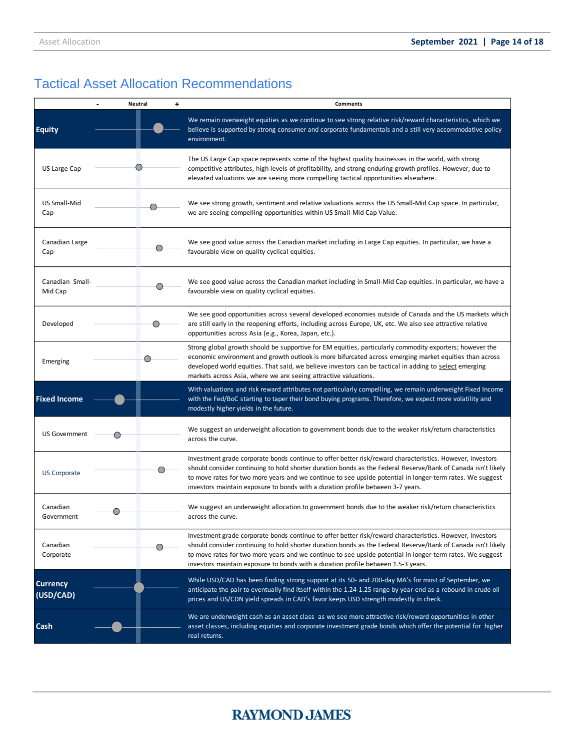# Tactical Asset Allocation Recommendations

|                              | <b>Neutral</b> | $\ddot{}$<br><b>Comments</b>                                                                                                                                                                                                                                                                                                                                                                                                |
|------------------------------|----------------|-----------------------------------------------------------------------------------------------------------------------------------------------------------------------------------------------------------------------------------------------------------------------------------------------------------------------------------------------------------------------------------------------------------------------------|
| <b>Equity</b>                |                | We remain overweight equities as we continue to see strong relative risk/reward characteristics, which we<br>believe is supported by strong consumer and corporate fundamentals and a still very accommodative policy<br>environment.                                                                                                                                                                                       |
| US Large Cap                 |                | The US Large Cap space represents some of the highest quality businesses in the world, with strong<br>competitive attributes, high levels of profitability, and strong enduring growth profiles. However, due to<br>elevated valuations we are seeing more compelling tactical opportunities elsewhere.                                                                                                                     |
| US Small-Mid<br>Cap          |                | We see strong growth, sentiment and relative valuations across the US Small-Mid Cap space. In particular,<br>we are seeing compelling opportunities within US Small-Mid Cap Value.                                                                                                                                                                                                                                          |
| Canadian Large<br>Cap        |                | We see good value across the Canadian market including in Large Cap equities. In particular, we have a<br>favourable view on quality cyclical equities.                                                                                                                                                                                                                                                                     |
| Canadian Small-<br>Mid Cap   |                | We see good value across the Canadian market including in Small-Mid Cap equities. In particular, we have a<br>favourable view on quality cyclical equities.                                                                                                                                                                                                                                                                 |
| Developed                    | $\bigcirc$     | We see good opportunities across several developed economies outside of Canada and the US markets which<br>are still early in the reopening efforts, including across Europe, UK, etc. We also see attractive relative<br>opportunities across Asia (e.g., Korea, Japan, etc.).                                                                                                                                             |
| Emerging                     |                | Strong global growth should be supportive for EM equities, particularly commodity exporters; however the<br>economic environment and growth outlook is more bifurcated across emerging market equities than across<br>developed world equities. That said, we believe investors can be tactical in adding to select emerging<br>markets across Asia, where we are seeing attractive valuations.                             |
| <b>Fixed Income</b>          |                | With valuations and risk reward attributes not particularly compelling, we remain underweight Fixed Income<br>with the Fed/BoC starting to taper their bond buying programs. Therefore, we expect more volatility and<br>modestly higher yields in the future.                                                                                                                                                              |
| <b>US Government</b>         |                | We suggest an underweight allocation to government bonds due to the weaker risk/return characteristics<br>across the curve.                                                                                                                                                                                                                                                                                                 |
| <b>US Corporate</b>          |                | Investment grade corporate bonds continue to offer better risk/reward characteristics. However, investors<br>should consider continuing to hold shorter duration bonds as the Federal Reserve/Bank of Canada isn't likely<br>to move rates for two more years and we continue to see upside potential in longer-term rates. We suggest<br>investors maintain exposure to bonds with a duration profile between 3-7 years.   |
| Canadian<br>Government       |                | We suggest an underweight allocation to government bonds due to the weaker risk/return characteristics<br>across the curve.                                                                                                                                                                                                                                                                                                 |
| Canadian<br>Corporate        |                | Investment grade corporate bonds continue to offer better risk/reward characteristics. However, investors<br>should consider continuing to hold shorter duration bonds as the Federal Reserve/Bank of Canada isn't likely<br>to move rates for two more years and we continue to see upside potential in longer-term rates. We suggest<br>investors maintain exposure to bonds with a duration profile between 1.5-3 years. |
| <b>Currency</b><br>(USD/CAD) |                | While USD/CAD has been finding strong support at its 50- and 200-day MA's for most of September, we<br>anticipate the pair to eventually find itself within the 1.24-1.25 range by year-end as a rebound in crude oil<br>prices and US/CDN yield spreads in CAD's favor keeps USD strength modestly in check.                                                                                                               |
| Cash                         |                | We are underweight cash as an asset class as we see more attractive risk/reward opportunities in other<br>asset classes, including equities and corporate investment grade bonds which offer the potential for higher<br>real returns.                                                                                                                                                                                      |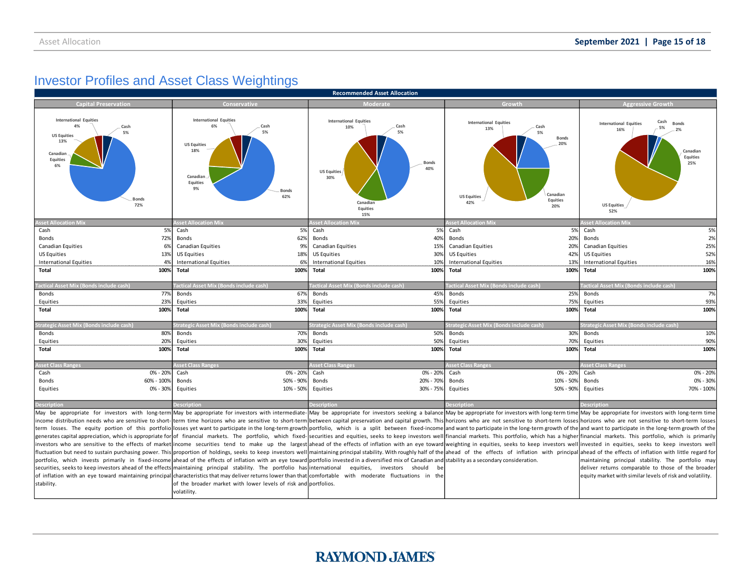# **Investor Profiles and Asset Class Weightings**

| <b>Recommended Asset Allocation</b>                                                                                                 |                                                                                                                                                                                                         |                                                                                                                                |                                                                                                                                        |                                                                                                                                                                                                                                |  |  |  |  |
|-------------------------------------------------------------------------------------------------------------------------------------|---------------------------------------------------------------------------------------------------------------------------------------------------------------------------------------------------------|--------------------------------------------------------------------------------------------------------------------------------|----------------------------------------------------------------------------------------------------------------------------------------|--------------------------------------------------------------------------------------------------------------------------------------------------------------------------------------------------------------------------------|--|--|--|--|
| <b>Capital Preservation</b>                                                                                                         | Conservative                                                                                                                                                                                            | Moderate                                                                                                                       | Growth                                                                                                                                 | <b>Aggressive Growth</b>                                                                                                                                                                                                       |  |  |  |  |
| <b>International Equities</b><br>4%<br>Cash<br>5%<br><b>US Equities</b><br>13%<br>Canadian<br>Equities<br>6%<br><b>Bonds</b><br>72% | <b>International Equities</b><br>6%<br>Cash<br>5%<br><b>US Equities</b><br>18%<br>Canadian<br><b>Equities</b><br>9%<br><b>Bonds</b><br>62%                                                              | <b>International Equities</b><br>Cash<br>10%<br>5%<br>Bonds<br>40%<br><b>US Equities</b><br>30%<br>Canadian<br>Equities<br>15% | <b>International Equities</b><br>Cash<br>13%<br>5%<br><b>B</b> onds<br>20%<br>Canadian<br><b>US Equities</b><br>Equities<br>42%<br>20% | Cash<br><b>International Equities</b><br><b>Bonds</b><br>5%<br>16%<br>Canadiar<br>Equities<br>25%<br><b>US Equities</b><br>52%                                                                                                 |  |  |  |  |
| <b>Asset Allocation Mix</b>                                                                                                         | sset Allocation Mix                                                                                                                                                                                     | sset Allocation Mix                                                                                                            | sset Allocation Mi                                                                                                                     | <b>Asset Allocation Mi</b>                                                                                                                                                                                                     |  |  |  |  |
| Cash<br>5%                                                                                                                          | 5%<br>Cash                                                                                                                                                                                              | Cash<br>5%                                                                                                                     | 5%<br>Cash                                                                                                                             | Cash<br>5%                                                                                                                                                                                                                     |  |  |  |  |
| 72%<br>Bonds                                                                                                                        | Bonds<br>62%                                                                                                                                                                                            | Bonds<br>40%                                                                                                                   | 20%<br>Bonds                                                                                                                           | 2%<br>Bonds                                                                                                                                                                                                                    |  |  |  |  |
| <b>Canadian Equities</b><br>6%                                                                                                      | 9%<br><b>Canadian Equities</b>                                                                                                                                                                          | <b>Canadian Equities</b><br>15%                                                                                                | 20%<br><b>Canadian Equities</b>                                                                                                        | 25%<br><b>Canadian Equities</b>                                                                                                                                                                                                |  |  |  |  |
| <b>US Equities</b><br>13%                                                                                                           | <b>US Equities</b><br>18%                                                                                                                                                                               | <b>US Equities</b><br>30%                                                                                                      | 42%<br>US Equities                                                                                                                     | 52%<br><b>US Equities</b>                                                                                                                                                                                                      |  |  |  |  |
| <b>International Equities</b><br>4%                                                                                                 | 6%<br><b>International Equities</b>                                                                                                                                                                     | <b>International Equities</b><br>10%                                                                                           | 13%<br><b>International Equities</b>                                                                                                   | 16%<br><b>International Equities</b>                                                                                                                                                                                           |  |  |  |  |
| 100%<br>Total                                                                                                                       | Total<br>100%                                                                                                                                                                                           | Total<br>100%                                                                                                                  | 100%<br>Total                                                                                                                          | 100%<br><b>Total</b>                                                                                                                                                                                                           |  |  |  |  |
|                                                                                                                                     |                                                                                                                                                                                                         |                                                                                                                                |                                                                                                                                        |                                                                                                                                                                                                                                |  |  |  |  |
| actical Asset Mix (Bonds include cash)                                                                                              | actical Asset Mix (Bonds include cash)                                                                                                                                                                  | actical Asset Mix (Bonds include cash)                                                                                         | actical Asset Mix (Bonds include cash)                                                                                                 | 'actical Asset Mix (Bonds include cash)                                                                                                                                                                                        |  |  |  |  |
| 77%<br>Bonds                                                                                                                        | 67%<br>Bonds                                                                                                                                                                                            | 45%<br>Bonds                                                                                                                   | 25%<br>Bonds                                                                                                                           | 7%<br>Bonds                                                                                                                                                                                                                    |  |  |  |  |
| 23%<br>Equities                                                                                                                     | 33%<br>Equities                                                                                                                                                                                         | 55%<br>Equities                                                                                                                | 75%<br>Equities                                                                                                                        | 93%<br>Equities                                                                                                                                                                                                                |  |  |  |  |
| 100%<br>Total                                                                                                                       | 100%<br>Total                                                                                                                                                                                           | <b>Total</b><br>100%                                                                                                           | 100%<br>Total                                                                                                                          | <b>Total</b><br>100%                                                                                                                                                                                                           |  |  |  |  |
|                                                                                                                                     |                                                                                                                                                                                                         |                                                                                                                                |                                                                                                                                        |                                                                                                                                                                                                                                |  |  |  |  |
| Strategic Asset Mix (Bonds include cash)                                                                                            | <b>Strategic Asset Mix (Bonds include cash</b>                                                                                                                                                          | Strategic Asset Mix (Bonds include cash)                                                                                       | <b>Strategic Asset Mix (Bonds include cash)</b>                                                                                        | Strategic Asset Mix (Bonds include cash)                                                                                                                                                                                       |  |  |  |  |
| 80%<br>Bonds                                                                                                                        | 70%<br>Bonds                                                                                                                                                                                            | 50%<br>Bonds                                                                                                                   | 30%<br>Bonds                                                                                                                           | 10%<br>Bonds                                                                                                                                                                                                                   |  |  |  |  |
| 20%<br>Equities                                                                                                                     | Equities<br>30%                                                                                                                                                                                         | Equities<br>50%                                                                                                                | Equities<br>70%                                                                                                                        | 90%<br>Equities                                                                                                                                                                                                                |  |  |  |  |
| 100%<br><b>Total</b>                                                                                                                | 100%<br>Total                                                                                                                                                                                           | <b>Total</b><br>100%                                                                                                           | 100%<br>Total                                                                                                                          | Total<br>100%                                                                                                                                                                                                                  |  |  |  |  |
|                                                                                                                                     |                                                                                                                                                                                                         |                                                                                                                                |                                                                                                                                        |                                                                                                                                                                                                                                |  |  |  |  |
| <b>Asset Class Ranges</b>                                                                                                           | <b>Asset Class Ranges</b>                                                                                                                                                                               | <b>Asset Class Ranges</b>                                                                                                      | <b>Asset Class Ranges</b>                                                                                                              | <b>Asset Class Ranges</b>                                                                                                                                                                                                      |  |  |  |  |
| 0% - 20%<br>Cash                                                                                                                    | 0% - 20%<br>Cash                                                                                                                                                                                        | 0% - 20%<br>Cash                                                                                                               | 0% - 20%<br>Cash                                                                                                                       | 0% - 20%<br>Cash                                                                                                                                                                                                               |  |  |  |  |
| 60% - 100%<br>Bonds                                                                                                                 | 50% - 90%<br>Bonds                                                                                                                                                                                      | Bonds<br>20% - 70%                                                                                                             | 10% - 50%<br>Bonds                                                                                                                     | 0% - 30%<br>Bonds                                                                                                                                                                                                              |  |  |  |  |
| 0% - 30%<br>Equities                                                                                                                | 10% - 50%<br>Equities                                                                                                                                                                                   | Equities<br>30% - 75%                                                                                                          | Equities<br>50% - 90%                                                                                                                  | Equities<br>70% - 100%                                                                                                                                                                                                         |  |  |  |  |
|                                                                                                                                     |                                                                                                                                                                                                         |                                                                                                                                |                                                                                                                                        |                                                                                                                                                                                                                                |  |  |  |  |
| <b>Description</b>                                                                                                                  | escription                                                                                                                                                                                              | escription                                                                                                                     | <b>escription</b>                                                                                                                      | <b>Description</b>                                                                                                                                                                                                             |  |  |  |  |
|                                                                                                                                     |                                                                                                                                                                                                         |                                                                                                                                |                                                                                                                                        | May be appropriate for investors with long-term May be appropriate for investors with intermediate-May be appropriate for investors seeking a balance May be appropriate for investors with long-term time May be appropriate  |  |  |  |  |
|                                                                                                                                     |                                                                                                                                                                                                         |                                                                                                                                |                                                                                                                                        | income distribution needs who are sensitive to short-term time horizons who are sensitive to short-term between capital preservation and capital growth. This horizons who are not sensitive to short-term losses hort-term lo |  |  |  |  |
|                                                                                                                                     |                                                                                                                                                                                                         |                                                                                                                                |                                                                                                                                        | term losses. The equity portion of this portfoliollosses yet want to participate in the long-term growth portfolio, which is a split between fixed-income and want to participate in the long-term growth of the               |  |  |  |  |
|                                                                                                                                     |                                                                                                                                                                                                         |                                                                                                                                |                                                                                                                                        | generates capital appreciation, which is appropriate for of financial markets. The portfolio, which fixed-securities and equities, seeks to keep investors well financial markets. This portfolio, which has a higher financia |  |  |  |  |
|                                                                                                                                     |                                                                                                                                                                                                         |                                                                                                                                |                                                                                                                                        | investors who are sensitive to the effects of marketlincome securities tend to make up the largest ahead of the effects of inflation with an eve toward weighting in equities, seeks to keep investors well linvested in equit |  |  |  |  |
|                                                                                                                                     |                                                                                                                                                                                                         |                                                                                                                                |                                                                                                                                        | fluctuation but need to sustain purchasing power. This proportion of holdings, seeks to keep investors well maintaining principal stability. With roughly half of the ahead of the effects of inflation with principal ahead o |  |  |  |  |
|                                                                                                                                     | portfolio, which invests primarily in fixed-income ahead of the effects of inflation with an eye toward portfolio invested in a diversified mix of Canadian and stability as a secondary consideration. |                                                                                                                                |                                                                                                                                        | maintaining principal stability. The portfolio may                                                                                                                                                                             |  |  |  |  |
|                                                                                                                                     | securities, seeks to keep investors ahead of the effects maintaining principal stability. The portfolio has international equities, investors should                                                    | be                                                                                                                             |                                                                                                                                        | deliver returns comparable to those of the broader                                                                                                                                                                             |  |  |  |  |
|                                                                                                                                     | of inflation with an eye toward maintaining principal characteristics that may deliver returns lower than that comfortable with moderate fluctuations in the                                            |                                                                                                                                |                                                                                                                                        | equity market with similar levels of risk and volatility.                                                                                                                                                                      |  |  |  |  |
| stability.                                                                                                                          | of the broader market with lower levels of risk and portfolios.                                                                                                                                         |                                                                                                                                |                                                                                                                                        |                                                                                                                                                                                                                                |  |  |  |  |
|                                                                                                                                     | volatility.                                                                                                                                                                                             |                                                                                                                                |                                                                                                                                        |                                                                                                                                                                                                                                |  |  |  |  |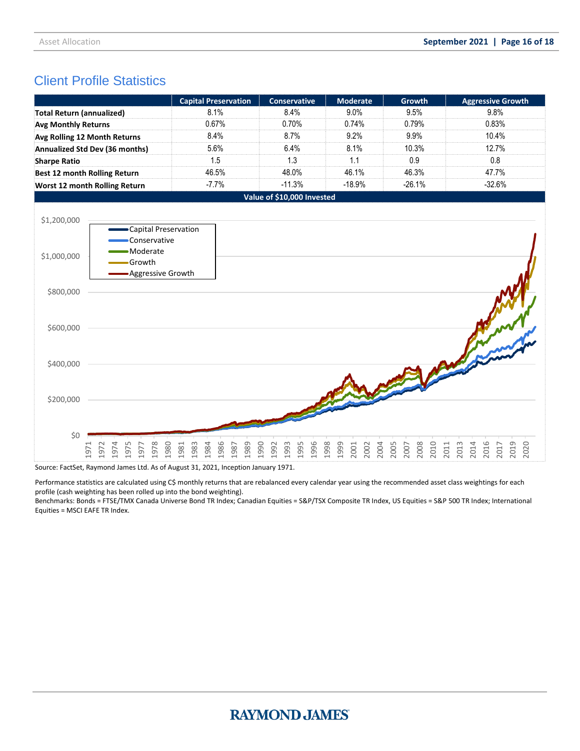# Client Profile Statistics

|                                  |                                                     | <b>Capital Preservation</b>                  | <b>Conservative</b>                  | <b>Moderate</b>                      | <b>Growth</b>                | <b>Aggressive Growth</b>                             |
|----------------------------------|-----------------------------------------------------|----------------------------------------------|--------------------------------------|--------------------------------------|------------------------------|------------------------------------------------------|
| <b>Total Return (annualized)</b> |                                                     | 8.1%                                         | 8.4%                                 | 9.0%                                 | 9.5%                         | 9.8%                                                 |
| <b>Avg Monthly Returns</b>       |                                                     | 0.67%                                        | 0.70%                                | 0.74%                                | 0.79%                        | 0.83%                                                |
| Avg Rolling 12 Month Returns     |                                                     | 8.4%                                         | 8.7%                                 | 9.2%                                 | 9.9%                         | 10.4%                                                |
|                                  | Annualized Std Dev (36 months)                      | 5.6%                                         | 6.4%                                 | 8.1%                                 | 10.3%                        | 12.7%                                                |
| <b>Sharpe Ratio</b>              |                                                     | 1.5                                          | 1.3                                  | 1.1                                  | 0.9                          | 0.8                                                  |
|                                  | <b>Best 12 month Rolling Return</b>                 | 46.5%                                        | 48.0%                                | 46.1%                                | 46.3%                        | 47.7%                                                |
|                                  | Worst 12 month Rolling Return                       | $-7.7%$                                      | $-11.3%$                             | $-18.9%$                             | $-26.1%$                     | $-32.6%$                                             |
|                                  |                                                     |                                              | Value of \$10,000 Invested           |                                      |                              |                                                      |
| \$1,200,000                      | -Capital Preservation<br>Conservative               |                                              |                                      |                                      |                              |                                                      |
| \$1,000,000                      | · Moderate<br>Growth<br>- Aggressive Growth         |                                              |                                      |                                      |                              |                                                      |
| \$800,000                        |                                                     |                                              |                                      |                                      |                              |                                                      |
| \$600,000                        |                                                     |                                              |                                      |                                      |                              |                                                      |
| \$400,000                        |                                                     |                                              |                                      |                                      |                              |                                                      |
| \$200,000                        |                                                     |                                              |                                      |                                      |                              |                                                      |
| \$0                              | 1978<br>1980<br>1975<br>1974<br>1971<br>1972<br>577 | 1984<br>1986<br>1981<br>1983<br>1989<br>1987 | 1996<br>1990<br>1995<br>1993<br>1992 | 1998<br>1999<br>2001<br>2004<br>2002 | 2005<br>2008<br>2010<br>2007 | 2013<br>2014<br>2016<br>2019<br>2020<br>2011<br>2017 |

Source: FactSet, Raymond James Ltd. As of August 31, 2021, Inception January 1971.

Performance statistics are calculated using C\$ monthly returns that are rebalanced every calendar year using the recommended asset class weightings for each profile (cash weighting has been rolled up into the bond weighting).

Benchmarks: Bonds = FTSE/TMX Canada Universe Bond TR Index; Canadian Equities = S&P/TSX Composite TR Index, US Equities = S&P 500 TR Index; International Equities = MSCI EAFE TR Index.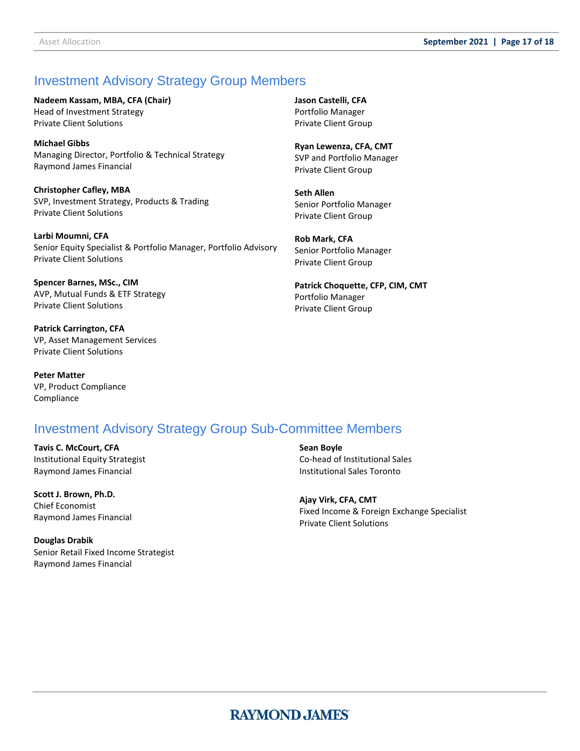# Investment Advisory Strategy Group Members

**Nadeem Kassam, MBA, CFA (Chair)**

Head of Investment Strategy Private Client Solutions

**Michael Gibbs** Managing Director, Portfolio & Technical Strategy Raymond James Financial

**Christopher Cafley, MBA** SVP, Investment Strategy, Products & Trading Private Client Solutions

**Larbi Moumni, CFA** Senior Equity Specialist & Portfolio Manager, Portfolio Advisory Private Client Solutions

**Spencer Barnes, MSc., CIM** AVP, Mutual Funds & ETF Strategy Private Client Solutions

**Patrick Carrington, CFA** VP, Asset Management Services Private Client Solutions

**Peter Matter**  VP, Product Compliance Compliance

# Investment Advisory Strategy Group Sub-Committee Members

**Tavis C. McCourt, CFA**  Institutional Equity Strategist Raymond James Financial

**Scott J. Brown, Ph.D.** Chief Economist Raymond James Financial

**Douglas Drabik** Senior Retail Fixed Income Strategist Raymond James Financial

Senior Portfolio Manager Private Client Group **Rob Mark, CFA**

**Ryan Lewenza, CFA, CMT** SVP and Portfolio Manager Private Client Group

**Jason Castelli, CFA** Portfolio Manager Private Client Group

**Seth Allen**

Senior Portfolio Manager Private Client Group

**Patrick Choquette, CFP, CIM, CMT** Portfolio Manager Private Client Group

**Sean Boyle** Co-head of Institutional Sales Institutional Sales Toronto

**Ajay Virk, CFA, CMT** Fixed Income & Foreign Exchange Specialist Private Client Solutions